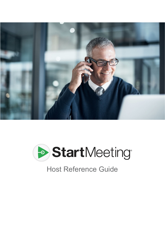



# Host Reference Guide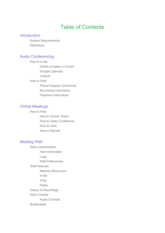## Table of Contents

#### **Introduction**

System Requirements **Definitions** 

#### Audio Conferencing

How to Invite Online Invitation or Email Google Calendar Outlook How to Host Phone Keypad Commands Recording Instructions Playback Instructions

#### Online Meetings

How to Host How to Screen Share How to Video Conference How to Chat How to Record

#### Meeting Wall

Wall Customization Host Information Logo Wall Preferences Wall Features Meeting Resources Invite Chat Radio History & Recordings Web Controls Audio Controls Broadcaster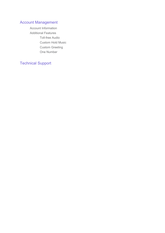### Account Management

Account Information Additional Features Toll-free Audio Custom Hold Music Custom Greeting One Number

## Technical Support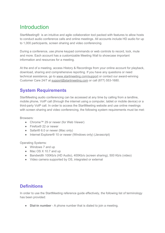## **Introduction**

StartMeeting® is an intuitive and agile collaboration tool packed with features to allow hosts to conduct audio conference calls and online meetings. All accounts include HD audio for up to 1,000 participants, screen sharing and video conferencing.

During a conference, use phone keypad commands or web controls to record, lock, mute and more. Each account has a customizable Meeting Wall to showcase important information and resources for a meeting.

At the end of a meeting, access History & Recordings from your online account for playback, download, sharing and comprehensive reporting. If you have any questions or need technical assistance, go to [www.startmeeting.com/support](http://www.startmeeting.com/support) or contact our award-winning Customer Care 24/7 at [support@startmeeting.com](mailto:support@startmeeting.com) or call (877) 553-1680.

## **System Requirements**

StartMeeting audio conferencing can be accessed at any time by calling from a landline, mobile phone, VoIP call (through the internet using a computer, tablet or mobile device) or a third-party VoIP call. In order to access the StartMeeting website and use online meetings with screen sharing and video conferencing, the following system requirements must be met:

Browsers:

- Chrome™ 29 or newer (for Web Viewer)
- Firefox® 22 or newer
- Safari® 6.0 or newer (Mac only)
- Internet Explorer<sup>®</sup> 10 or newer (Windows only) (Javascript)

Operating Systems:

- Windows 7 and up
- Mac OS X 10.7 and up
- Bandwidth 100Kb/s (HD Audio), 400Kb/s (screen sharing), 500 Kb/s (video)
- Video camera supported by OS, integrated or external

### **Definitions**

In order to use the StartMeeting reference guide effectively, the following list of terminology has been provided:

● **Dial-in number** - A phone number that is dialed to join a meeting.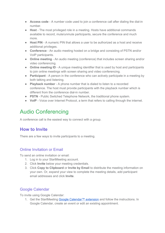- **Access code** A number code used to join a conference call after dialing the dial-in number.
- **Host** The most privileged role in a meeting. Hosts have additional commands available to record, mute/unmute participants, secure the conference and much more.
- **Host PIN** A numeric PIN that allows a user to be authorized as a host and receive additional privileges.
- **Conference** An audio meeting hosted on a bridge and consisting of PSTN and/or VoIP participants.
- **Online meeting** An audio meeting (conference) that includes screen sharing and/or video conferencing.
- **Online meeting ID** A unique meeting identifier that is used by host and participants to join online meetings with screen sharing and video conferencing.
- **Participant** A person in the conference who can actively participate in a meeting by both talking and listening.
- **Playback number** A phone number that is dialed to listen to a recorded conference. The host must provide participants with the playback number which is different from the conference dial-in number.
- **PSTN** Public Switched Telephone Network, the traditional phone system.
- **VoIP** Voice over Internet Protocol, a term that refers to calling through the internet.

## Audio Conferencing

A conference call is the easiest way to connect with a group.

## **How to Invite**

There are a few ways to invite participants to a meeting.

#### Online Invitation or Email

To send an online invitation or email:

- 1. Log in to your StartMeeting account.
- 2. Click **Invite** below your meeting credentials.
- 3. Click **Copy to Clipboard** or **Invite by Email** to distribute the meeting information on your own. Or, expand your view to complete the meeting details, add participant email addresses and click **Invite**.

#### Google Calendar

To invite using Google Calendar:

1. Get the StartMeeting Google [Calendar™](https://www.startmeeting.com/google-calendar-extension-instructions) extension and follow the instructions. In Google Calendar, create an event or edit an existing appointment.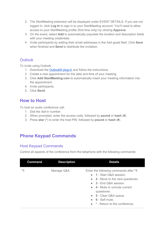- 2. The StartMeeting extension will be displayed under EVENT DETAILS. If you are not logged in, click **Log In** to sign in to your StartMeeting account. You'll need to allow access to your StartMeeting profile (first time only) by clicking **Approve**.
- 3. On the event, select **Add** to automatically populate the location and description fields with your meeting credentials.
- 4. Invite participants by adding their email addresses in the Add guest field. Click **Save** when finished and **Send** to distribute the invitation.

#### **Outlook**

To invite using Outlook:

- 1. Download the [Outlook®](https://www.startmeeting.com/outlook-plugin-instructions) plug-in and follow the instructions.
- 2. Create a new appointment for the date and time of your meeting.
- 3. Click **Add StartMeeting.com** to automatically insert your meeting information into the appointment.
- 4. Invite participants.
- 5. Click **Send**.

## **How to Host**

To host an audio conference call:

- 1. Dial the dial-in number.
- 2. When prompted, enter the access code, followed by **pound** or **hash** (**#**).
- 3. Press **star** (**\***) to enter the host PIN, followed by **pound** or **hash** (**#**).

## **Phone Keypad Commands**

#### Host Keypad Commands

Control all aspects of the conference from the telephone with the following commands:

| <b>Command</b> | <b>Description</b> | <b>Details</b>                                                                                                                                                                                                                                                                 |
|----------------|--------------------|--------------------------------------------------------------------------------------------------------------------------------------------------------------------------------------------------------------------------------------------------------------------------------|
| $*1$           | Manage Q&A         | Enter the following commands after *1:<br>• 1 - Start Q&A session.<br>• 2 - Move to the next questioner.<br>$\bullet$ 3 - End Q&A session.<br>• 4 - Mute or unmute current<br>questioner.<br>5 - Clear Q&A queue.<br>$\bullet$ 6 - Self mute.<br>* - Return to the conference. |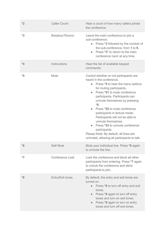| $*2$ | <b>Caller Count</b>   | Hear a count of how many callers joined<br>the conference.                                                                                                                                                                                                                                                                                                                                                                                                                                                                                                     |
|------|-----------------------|----------------------------------------------------------------------------------------------------------------------------------------------------------------------------------------------------------------------------------------------------------------------------------------------------------------------------------------------------------------------------------------------------------------------------------------------------------------------------------------------------------------------------------------------------------------|
| $*3$ | <b>Breakout Rooms</b> | Leave the main conference to join a<br>sub-conference:<br>Press *3 followed by the number of<br>$\bullet$<br>the sub-conference, from 1 to 9.<br>Press *3* to return to the main<br>$\bullet$<br>conference room at any time.                                                                                                                                                                                                                                                                                                                                  |
| $*4$ | Instructions          | Hear the list of available keypad<br>commands.                                                                                                                                                                                                                                                                                                                                                                                                                                                                                                                 |
| $*5$ | Mute                  | Control whether or not participants are<br>heard in the conference.<br>Press *5 to hear the menu options<br>$\bullet$<br>for muting participants.<br>Press *51 to mute conference<br>$\bullet$<br>participants. Participants can<br>unmute themselves by pressing<br>$*6.$<br>Press *52 to mute conference<br>participants in lecture mode.<br>Participants will not be able to<br>unmute themselves.<br>Press *53 to unmute conference<br>$\bullet$<br>participants.<br>Please Note: By default, all lines are<br>unmuted, allowing all participants to talk. |
| $*6$ | <b>Self Mute</b>      | Mute your individual line. Press *6 again<br>to unmute the line.                                                                                                                                                                                                                                                                                                                                                                                                                                                                                               |
| $*7$ | Conference Lock       | Lock the conference and block all other<br>participants from entering. Press *7 again<br>to unlock the conference and allow<br>participants to join.                                                                                                                                                                                                                                                                                                                                                                                                           |
| $*8$ | Entry/Exit tones      | By default, the entry and exit tones are<br>turned on.<br>Press *8 to turn off entry and exit<br>$\bullet$<br>tones.<br>Press *8 again to turn off entry<br>$\bullet$<br>tones and turn on exit tones.<br>Press *8 again to turn on entry<br>$\bullet$<br>tones and turn off exit tones.                                                                                                                                                                                                                                                                       |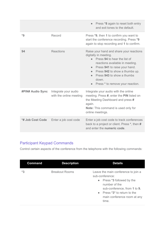|                         |                                                 | Press *8 again to reset both entry<br>$\bullet$<br>and exit tones to the default.                                                                                                                                                                                                                                           |
|-------------------------|-------------------------------------------------|-----------------------------------------------------------------------------------------------------------------------------------------------------------------------------------------------------------------------------------------------------------------------------------------------------------------------------|
| $*9$                    | Record                                          | Press *9, then 1 to confirm you want to<br>start the conference recording. Press *9<br>again to stop recording and 1 to confirm.                                                                                                                                                                                            |
| 94                      | <b>Reactions</b>                                | Raise your hand and share your reactions<br>digitally in meeting.<br>• Press 94 to hear the list of<br>reactions available in meeting.<br>Press 941 to raise your hand.<br>$\bullet$<br>Press 942 to show a thumbs up.<br>$\bullet$<br>Press 943 to show a thumbs<br>down.<br>Press * to remove your reaction.<br>$\bullet$ |
| <b>#PIN# Audio Sync</b> | Integrate your audio<br>with the online meeting | Integrate your audio with the online<br>meeting. Press #, enter the PIN listed on<br>the Meeting Dashboard and press #<br>again.<br><b>Note:</b> This command is used only for<br>online meetings.                                                                                                                          |
| *# Job Cost Code        | Enter a job cost code                           | Enter a job cost code to track conferences<br>back to a project or client. Press *, then #<br>and enter the numeric code.                                                                                                                                                                                                   |

## Participant Keypad Commands

Control certain aspects of the conference from the telephone with the following commands:

| <b>Command</b> | <b>Description</b>    | <b>Details</b>                                                                                                                                                                                                |
|----------------|-----------------------|---------------------------------------------------------------------------------------------------------------------------------------------------------------------------------------------------------------|
| $*3$           | <b>Breakout Rooms</b> | Leave the main conference to join a<br>sub-conference:<br>• Press *3 followed by the<br>number of the<br>sub-conference, from 1 to 9.<br>• Press *3* to return to the<br>main conference room at any<br>time. |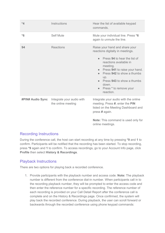| $*4$                    | Instructions                                    | Hear the list of available keypad<br>commands.                                                                                                                                                                                                                                                                                      |
|-------------------------|-------------------------------------------------|-------------------------------------------------------------------------------------------------------------------------------------------------------------------------------------------------------------------------------------------------------------------------------------------------------------------------------------|
| $*6$                    | <b>Self Mute</b>                                | Mute your individual line. Press *6<br>again to unmute the line.                                                                                                                                                                                                                                                                    |
| 94                      | <b>Reactions</b>                                | Raise your hand and share your<br>reactions digitally in meetings.<br>Press 94 to hear the list of<br>$\bullet$<br>reactions available in<br>meeting.<br>Press 941 to raise your hand.<br>$\bullet$<br>Press 942 to show a thumbs<br>$\bullet$<br>up.<br>Press 943 to show a thumbs<br>down.<br>Press * to remove your<br>reaction. |
| <b>#PIN# Audio Sync</b> | Integrate your audio with<br>the online meeting | Integrate your audio with the online<br>meeting. Press #, enter the PIN<br>listed on the Meeting Dashboard and<br>press # again.<br>Note: This command is used only for<br>online meetings.                                                                                                                                         |

#### Recording Instructions

During the conference call, the host can start recording at any time by pressing **\*9** and **1** to confirm. Participants will be notified that the recording has been started. To stop recording, press **\*9** again and **1** to confirm. To access recordings, go to your Account Info page, click **Profile** then select **History & Recordings**.

#### Playback Instructions

There are two options for playing back a recorded conference.

1. Provide participants with the playback number and access code. **Note:** The playback number is different from the conference dial-in number. When participants call in to the recording playback number, they will be prompted to enter the access code and then enter the reference number for a specific recording. The reference number of each recording is provided on your Call Detail Report after the conference call is complete and on the History & Recordings page. Once confirmed, the system will play back the recorded conference. During playback, the user can scroll forward or backwards through the recorded conference using phone keypad commands: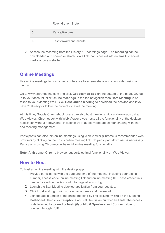| Rewind one minute       |
|-------------------------|
| Pause/Resume            |
| Fast forward one minute |

2. Access the recording from the History & Recordings page. The recording can be downloaded and shared or shared via a link that is pasted into an email, to social media or on a website.

## **Online Meetings**

Use online meetings to host a web conference to screen share and show video using a webcam.

Go to www.startmeeting.com and click **Get desktop app** on the bottom of the page. Or, log in to your account, click **Online Meetings** in the top navigation then **Host Meeting** to be taken to your Meeting Wall. Click **Host Online Meeting** to download the desktop app if you haven't already or follow the prompts to start the meeting.

At this time, Google Chromebook users can also host meetings without downloads using Web Viewer. Chromebook with Web Viewer gives hosts all the functionality of the desktop application without a download, including: VoIP audio, video and screen sharing with chat and meeting management.

Participants can also join online meetings using Web Viewer (Chrome is recommended web browser) by clicking on the host's online meeting link. No participant download is necessary. Participants using Chromebook have full online meeting functionality.

**Note:** At this time, Chrome browser supports optimal functionality on Web Viewer.

## **How to Host**

To host an online meeting with the desktop app:

- 1. Provide participants with the date and time of the meeting, including your dial-in number, access code, online meeting link and online meeting ID. These credentials can be located on the Account Info page after you log in.
- 2. Launch the StartMeeting desktop application from your desktop.
- 3. Click **Host** and log in with your email address and password.
- 4. Join the audio portion of the online meeting by first clicking **Phone** on the Meeting Dashboard. Then click **Telephone** and call the dial-in number and enter the access code followed by **pound** or **hash** (**#**) or **Mic & Speakers** and **Connect Now** to connect through VoIP.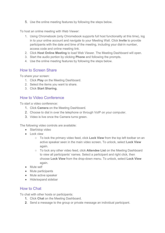5. Use the online meeting features by following the steps below.

To host an online meeting with Web Viewer:

- 1. Using Chromebook (only Chromebook supports full host functionality at this time), log in to your online account and navigate to your Meeting Wall. Click **Invite** to provide participants with the date and time of the meeting, including your dial-in number, access code and online meeting link.
- 2. Click **Host Online Meeting** to load Web Viewer. The Meeting Dashboard will open.
- 3. Start the audio portion by clicking **Phone** and following the prompts.
- 4. Use the online meeting features by following the steps below.

#### How to Screen Share

To share your screen:

- 1. Click **Play** on the Meeting Dashboard.
- 2. Select the items you want to share.
- 3. Click **Start Sharing.**

#### How to Video Conference

To start a video conference:

- 1. Click **Camera** on the Meeting Dashboard.
- 2. Choose to dial in over the telephone or through VoIP on your computer.
- 3. Video is live once the Camera turns green.

The following video controls are available:

- Start/stop video
- Lock view
	- To lock the primary video feed, click **Lock View** from the top left toolbar on an active speaker seen in the main video screen. To unlock, select **Lock View** again.
	- To lock any other video feed, click **Attendee List** on the Meeting Dashboard to view all participants' names. Select a participant and right click, then choose **Lock View** from the drop-down menu. To unlock, select **Lock View** again.
- Mute self
- Mute participants
- Mute active speaker
- Hide/expand sidebar

#### How to Chat

To chat with other hosts or participants:

- 1. Click **Chat** on the Meeting Dashboard.
- 2. Send a message to the group or private message an individual participant.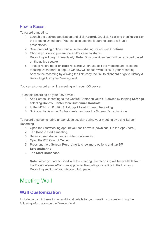#### How to Record

To record a meeting:

- 1. Launch the desktop application and click **Record.** Or, click **Host** and then **Record** on the Meeting Dashboard. You can also use this feature to create a Studio presentation.
- 2. Select recording options (audio, screen sharing, video) and **Continue**.
- 3. Choose your audio preference and/or items to share.
- 4. Recording will begin immediately. **Note:** Only one video feed will be recorded based on the active speaker.
- 5. To stop recording, click **Record**. **Note**: When you exit the meeting and close the Meeting Dashboard, a pop-up window will appear with a link to your recording. Access the recording by clicking the link, copy the link to clipboard or go to History & Recordings from your Meeting Wall.

You can also record an online meeting with your iOS device.

To enable recording on your iOS device:

- 1. Add Screen Recording to the Control Center on your iOS device by tapping **Settings**, selecting **Control Center** then **Customize Controls**.
- 2. In the MORE CONTROLS list, tap **+** to add Screen Recording.
- 3. Swipe up to view the Control Center and see the Screen Recording icon.

To record a screen sharing and/or video session during your meeting by using Screen Recording:

- 1. Open the StartMeeting app. (If you don't have it, [download](https://itunes.apple.com/us/app/start-meeting/id508871606?mt=8) it in the App Store.)
- 2. Tap **Host** to start a meeting.
- 3. Begin screen sharing and/or video conferencing.
- 4. Open the iOS Control Center.
- 5. Press and hold **Screen Recording** to show more options and tap **SM ScreenSharing**.
- 6. Tap **Start Broadcast**.

**Note:** When you are finished with the meeting, the recording will be available from the FreeConferenceCall.com app under Recordings or online in the History & Recording section of your Account Info page.

## Meeting Wall

## **Wall Customization**

Include contact information or additional details for your meetings by customizing the following information on the Meeting Wall.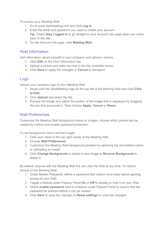To access your Meeting Wall:

- 1. Go to www.startmeeting.com and click **Log In**.
- 2. Enter the email and password you used to create your account. **Tip:** Check **Stay Logged In** to go straight to your Account Info page when you come back to the site.
- 3. On the Account Info page, click **Meeting Wall.**

#### Host Information

Add information about yourself or your company and upload a picture.

- 1. Click **Edit** on the Host Information bar.
- 2. Upload a picture and enter any text in the two available boxes.
- 3. Click **Save** to apply the changes or **Cancel** to disregard.

#### Logo

Upload your company logo to your Meeting Wall.

- 1. Hover over the StartMeeting logo on the top left of the Meeting Wall and click **Click to Edit**.
- 2. Click **Upload** and select the file.
- 3. Preview the image and adjust the portion of the image that is displayed by dragging the box that surrounds it. Then choose **Apply**, **Cancel** or **Reset**.

#### Wall Preferences

Customize the Meeting Wall background colors or images, choose which panels can be viewed by visitors and enable password protection.

To set background colors and the image:

- 1. Click your name in the top right corner of the Meeting Wall.
- 2. Choose **Wall Preferences**.
- 3. Customize the Meeting Wall background gradient by selecting top and bottom colors or uploading an image.
- 4. Click **Change Background** to upload a new image or **Remove Background** to delete it.

By default, anyone with the Meeting Wall link can view the Wall at any time. To restrict access to the Meeting Wall:

- 1. Under Master Password, define a password that visitors must enter before gaining access to your Wall.
- 2. Toggle a feature under Feature Panel **On** or **Off** to display or hide it on your Wall.
- 3. Check **enable password** next to a feature under Feature Panel to require that the password be entered before it can be viewed.
- 4. Click **Save** to save the changes or **Reset settings** to undo the changes.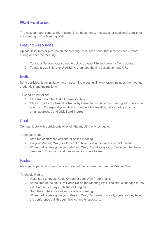### **Wall Features**

The host can post contact information, links, documents, messages or additional details for the meeting on the Meeting Wall.

#### Meeting Resources

Upload links, files or pictures on the Meeting Resources panel that may be useful before, during or after the meeting.

- 1. To add a file from your computer, click **Upload File** and select a file to upload.
- 2. To add a web link, click **Add Link**, then type the link description and URL.

#### **Invite**

Send participants an invitation to an upcoming meeting. The invitation includes the meeting credentials and instructions.

To send an invitation:

- 1. Click **Invite** on the Audio Information box.
- 2. Click **Copy to Clipboard** or **Invite by Email** to distribute the meeting information on your own. Or, expand your view to complete the meeting details, add participant email addresses and click **Send Invites**.

#### **Chat**

Communicate with participants who join the meeting only by audio.

To enable Chat:

- 1. Start the conference call and/or online meeting.
- 2. On your Meeting Wall, lick the chat bubble, type a message and click **Send**.
- 3. When participants go to your Meeting Wall, Chat displays any messages that have been sent. They can send messages for others to see.

#### Radio

Allow participants to listen to a live stream of the conference from the Meeting Wall.

To enable Radio:

- 1. Make sure to toggle Radio **On** under your Wall Preferences.
- 2. At the time of the call, turn Radio **On** on the Meeting Wall. The status changes to "on air". Hold music plays until the call begins.
- 3. Start the conference call and/or online meeting.
- 4. When participants go to your Meeting Wall, Radio automatically starts so they hear the conference call through their computer speakers.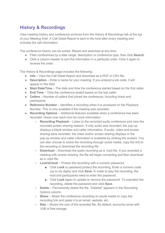## **History & Recordings**

View meeting history and conference archives from the History & Recordings tab at the top of your Meeting Wall. A Call Detail Report is sent to the host after every meeting and includes the call information.

The conference history can be sorted, filtered and searched at any time.

- Filter conferences by a date range, description or conference type, then click **Search**.
- Click a column header to sort the information in a particular order. Click it again to reverse the order

The History & Recordings page includes the following:

- **Info** View the Call Detail Report and download as a PDF or CSV file.
- **Description** Enter a name for your meeting. If you entered a job code, it will appear in this field.
- **Start Date/Time** The date and time the conference started based on the first caller.
- **End Time** Time the conference ended based on the last caller.
- **Callers** Number of callers that joined the conference, including hosts and participants.
- **Reference Number** Identifies a recording when it is accessed on the Playback Number. This is only available if the meeting was recorded.
- **Recording Options** Additional features available when a conference has been recorded. Hover over each icon for more information.
	- **Recording Playback** Listen to the recorded audio conference and view the recorded screen sharing session. If only audio was recorded, the pop-up displays a blank window and caller information. If audio, video and screen sharing were recorded, the video and/or screen sharing displays in the pop-up window and caller information is available by clicking the avatars. You can also choose to share the recording through social media, copy the link to the recording or download the recording file.
	- **Download** Download the audio recording as a .mp3 file. If you recorded a meeting with screen sharing, the file will begin converting and then download as a .mp4 file.
	- **Lock/Unlock** Protect the recording with a numeric password.
		- Click **Lock** to password protect the recording. Enter a numeric code (up to six digits) and click **Save**. In order to play the recording, the host and participants need to enter the password.
		- Click **Lock** again to update or remove the password. To unprotect the recording, delete the password and click **Save**.
	- **Delete** Permanently delete the file. "Deleted" appears in the Recording Options column.
	- **Share** Share the conference recording on social media or copy the recording link and paste it to an email, website, etc.
	- **Size** Shows the size of the recorded file. By default, accounts come with 1GB of free storage.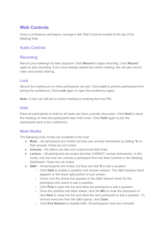## **Web Controls**

Once a conference call begins, manage it with Web Controls located at the top of the Meeting Wall.

#### Audio Controls

#### **Recording**

Record your meetings for later playback. Click **Record** to begin recording. Click **Record** again to stop recording. If you have already started the online meeting, this will also record video and screen sharing.

#### Lock

Secure the meeting so no other participants can join. Click **Lock** to prevent participants from joining the conference. Click **Lock** again to open the conference again.

**Note:** A host can still join a locked meeting by entering the host PIN.

#### Hold

Place all participants on hold so all hosts can have a private discussion. Click **Hold** to place the meeting on hold and participants hear hold music. Click **Hold** again to join the participants back to the conference.

#### Mute Modes

The following mute modes are available to the host:

- **Mute** All participants are muted, but they can unmute themselves by dialing **\*6** on their phones. Hosts are not muted.
- **Unmute** All callers can talk and mute/unmute their lines.
- **Lecture** All participants are muted and they CANNOT unmute themselves. In this mode, only the host can unmute a participant from the Web Controls or the Meeting Dashboard. Hosts are not muted.
- **Q&A** All participants are muted, but they can dial **\*6** to ask a question.
	- Click **Q&A** to enable a question and answer session. The Q&A Session block appears on the lower right portion of your screen.
	- $\circ$  Hover over the phone that appears in the Q&A Session block for the participant who wants to ask a question.
	- Click **Pick** to open the line and allow the participant to ask a question.
	- Once the question has been asked, click the **Mic** to mute the participant or click **Next** to close the line and allow the next participant to ask a question. To remove everyone from the Q&A queue, click **Clear**.
	- Click **End Session** to disable Q&A. All participants' lines are unmuted.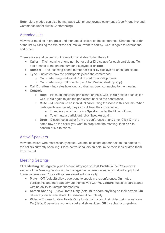**Note**: Mute modes can also be managed with phone keypad commands (see Phone Keypad Commands under Audio Conferencing).

#### Attendee List

View your meeting in progress and manage all callers on the conference. Change the order of the list by clicking the title of the column you want to sort by. Click it again to reverse the sort order.

There are several columns of information available during the call:

- **Caller** The incoming phone number or caller ID displays for each participant. To add a name to the phone number displayed, click **Edit**.
- **Number** The incoming phone number or caller ID displays for each participant.
- **Type** Indicates how the participants joined the conference:
	- Call made using traditional PSTN fixed or mobile phones.
	- Call made using VoIP clients (i.e., StartMeeting desktop app).
- **Call Duration** Indicates how long a caller has been connected to the meeting.
- **Controls**
	- **Hold** Place an individual participant on hold. Click **Hold** next to each caller. Click **Hold** again to join the participant back to the conference.
	- **Mute** Mute/unmute an individual caller using the icons in this column. When participants are muted, they can still hear the conversation.
		- To mute a participant, click **Speaker** under the Mute column.
		- To unmute a participant, click **Speaker** again.
	- **Drop** Disconnect a caller from the conference at any time. Click **X** in the same row as the caller you want to drop from the meeting, then **Yes** to confirm or **No** to cancel.

#### Active Speakers

View the callers who most recently spoke. Volume indicators appear next to the names of the callers currently speaking. Place active speakers on hold, mute their lines or drop them from the call.

### Meeting Settings

Click **Meeting Settings** on your Account Info page or **Host Profile** in the Preferences section of the Meeting Dashboard to manage the conference settings that will apply to all future conferences. Your settings are saved automatically.

- **Mute Off** (default) allows everyone to speak in the conference. **On** mutes participants and they can unmute themselves with **\*6**. **Lecture** mutes all participants with no ability to unmute themselves.
- **Screen Sharing** Allow **Hosts Only** (default) to share anything on their screen. **On** lets everyone screen share. **Off** disables it completely.
- **Video** Choose to allow **Hosts Only** to start and show their video using a webcam. **On** (default) permits anyone to start and show video. **Off** disables it completely.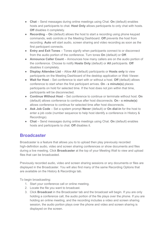- **Chat** Send messages during online meetings using Chat. **On** (default) enables hosts and participants to chat. **Host Only** allows participants to only chat with hosts. **Off** disables it completely.
- **Recording On** (default) allows the host to start a recording using phone keypad commands, web controls or the Meeting Dashboard. **Off** prevents the host from recording. **Auto** will start audio, screen sharing and video recording as soon as the first participant connects.
- **Entry and Exit Tones** Tones signify when participants connect to or disconnect from the audio portion of the conference. Turn tones **On** (default) or **Off**.
- **Announce Caller Count** Announces how many callers are on the audio portion of the conference. Choose to notify **Hosts Only** (default) or **All** participants. **Off** disables it completely.
- **Display Attendee List** Allow **All** (default) participants or **Hosts only** to view participants on the Meeting Dashboard of the desktop application or Web Viewer.
- **Wait for Host** Set conference to start with or without a host. **Off** (default) allows conference to start when the first participant arrives. **On - x minute(s)** places participants on hold for selected time. If the host does not join within that time, participants will be disconnected.
- **Continue Without Host** Set conference to continue or terminate without host. **On** (default) allows conference to continue after host disconnects. **On - x minute(s)** allows conference to continue for selected time after host disconnects.
- **Ask Job Code** Set a system prompt **Never** (default) or **On dial-in** for the host to enter a job code (number sequence to help host identify a conference in History & Recordings).
- **Chat** Send messages during online meetings using Chat. **On** (default) enables hosts and participants to chat. **Off** disables it.

## **Broadcaster**

Broadcaster is a feature that allows you to to upload then play previously recorded high-definition audio, video and screen sharing conferences or show documents and files during a live meeting. Click **Broadcaster** at the top of your Meeting Wall to view and upload files that can be broadcasted.

Previously recorded audio, video and screen sharing sessions or any documents or files are displayed in the Broadcaster. You will also find many of the same Recording Options that are available on the History & Recordings tab.

To begin broadcasting:

- 1. Start your conference call or online meeting.
- 2. Locate the file you want to broadcast.
- 3. Click **Broadcast** in the Broadcaster tab and the broadcast will begin. If you are only holding a conference call, the audio portion of the file plays over the phone. If you are holding an online meeting, and the recording includes a video and screen sharing session, the audio portion plays over the phone and video and screen sharing is displayed on the screen.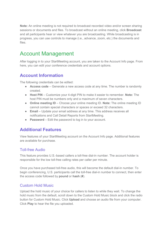**Note:** An online meeting is not required to broadcast recorded video and/or screen sharing sessions or documents and files. To broadcast without an online meeting, click **Broadcast** and all participants hear or view whatever you are broadcasting. While broadcasting is in progress, you can use controls to manage (i.e., advance, zoom, etc.) the documents and files.

## Account Management

After logging in to your StartMeeting account, you are taken to the Account Info page. From here, you can edit your conference credentials and account options.

## **Account Information**

The following credentials can be edited:

- **Access code** Generate a new access code at any time. The number is randomly created.
- **Host PIN** Customize your 4-digit PIN to make it easier to remember. **Note:** The host PIN must be numbers only and a maximum of seven characters.
- **Online meeting ID** Choose your online meeting ID. **Note:** The online meeting ID cannot contain special characters or spaces or exceed 32 characters.
- **Email** Update your email address at any time. This address receives all notifications and Call Detail Reports from StartMeeting.
- **Password** Edit the password to log in to your account.

## **Additional Features**

View features of your StartMeeting account on the Account Info page. Additional features are available for purchase.

#### Toll-free Audio

This feature provides U.S.-based callers a toll-free dial-in number. The account holder is responsible for the low toll-free calling rates per caller per minute.

Once you have purchased toll-free audio, this will become the default dial-in number. To begin conferencing, U.S. participants call the toll-free dial-in number to connect, then enter the access code followed by **pound** or **hash** (**#**).

#### Custom Hold Music

Upload the hold music of your choice for callers to listen to while they wait. To change the hold music from the default, scroll down to the Custom Hold Music block and click the radio button for Custom Hold Music. Click **Upload** and choose an audio file from your computer. Click **Play** to hear the file you uploaded.